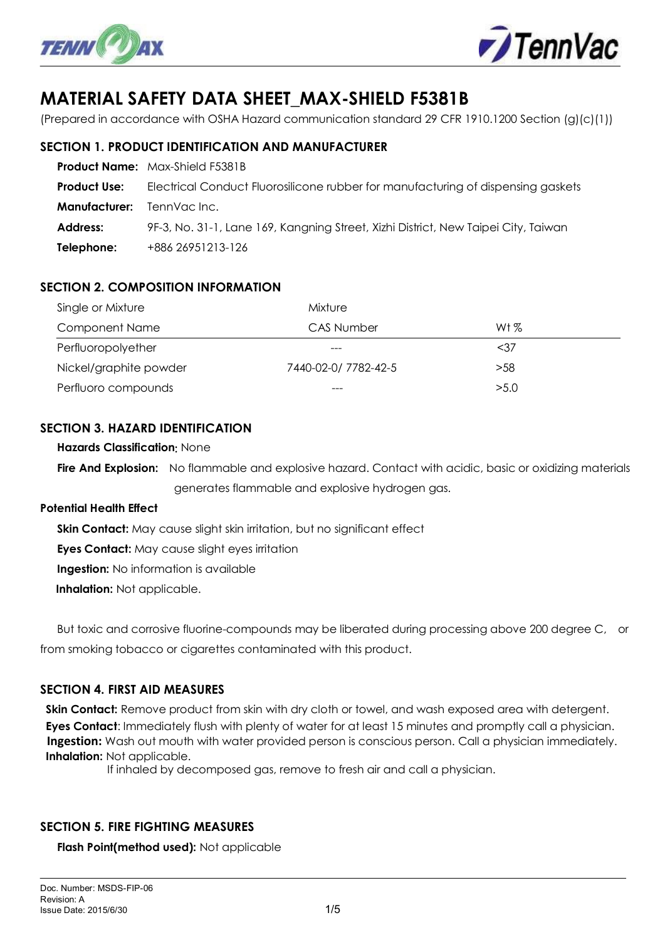



# **MATERIAL SAFETY DATA SHEET\_MAX-SHIELD F5381B**

(Prepared in accordance with OSHA Hazard communication standard 29 CFR 1910.1200 Section (g)(c)(1))

## **SECTION 1. PRODUCT IDENTIFICATION AND MANUFACTURER**

|                                  | <b>Product Name:</b> Max-Shield F5381B                                             |
|----------------------------------|------------------------------------------------------------------------------------|
| <b>Product Use:</b>              | Electrical Conduct Fluorosilicone rubber for manufacturing of dispensing gaskets   |
| <b>Manufacturer:</b> TennVaclnc. |                                                                                    |
| Address:                         | 9F-3, No. 31-1, Lane 169, Kangning Street, Xizhi District, New Taipei City, Taiwan |
| Telephone:                       | +886 26951213-126                                                                  |

# **SECTION 2. COMPOSITION INFORMATION**

| Single or Mixture      | Mixture             |         |  |  |
|------------------------|---------------------|---------|--|--|
| <b>Component Name</b>  | CAS Number          | Wt $\%$ |  |  |
| Perfluoropolyether     |                     | $37$    |  |  |
| Nickel/graphite powder | 7440-02-0/7782-42-5 | >58     |  |  |
| Perfluoro compounds    | $---$               | >5.0    |  |  |

#### **SECTION 3. HAZARD IDENTIFICATION**

**Hazards Classification**: None

 **Fire And Explosion:** No flammable and explosive hazard. Contact with acidic, basic or oxidizing materials generates flammable and explosive hydrogen gas.

#### **Potential Health Effect**

**Skin Contact:** May cause slight skin irritation, but no significant effect

**Eves Contact:** May cause slight eyes irritation

**Ingestion:** No information is available

**Inhalation:** Not applicable.

 But toxic and corrosive fluorine-compounds may be liberated during processing above 200 degree C, or from smoking tobacco or cigarettes contaminated with this product.

#### **SECTION 4. FIRST AID MEASURES**

**Skin Contact:** Remove product from skin with dry cloth or towel, and wash exposed area with detergent. **Eyes Contact**: Immediately flush with plenty of water for at least 15 minutes and promptly call a physician. **Ingestion:** Wash out mouth with water provided person is conscious person. Call a physician immediately. **Inhalation:** Not applicable.

If inhaled by decomposed gas, remove to fresh air and call a physician.

#### **SECTION 5. FIRE FIGHTING MEASURES**

**Flash Point(method used):** Not applicable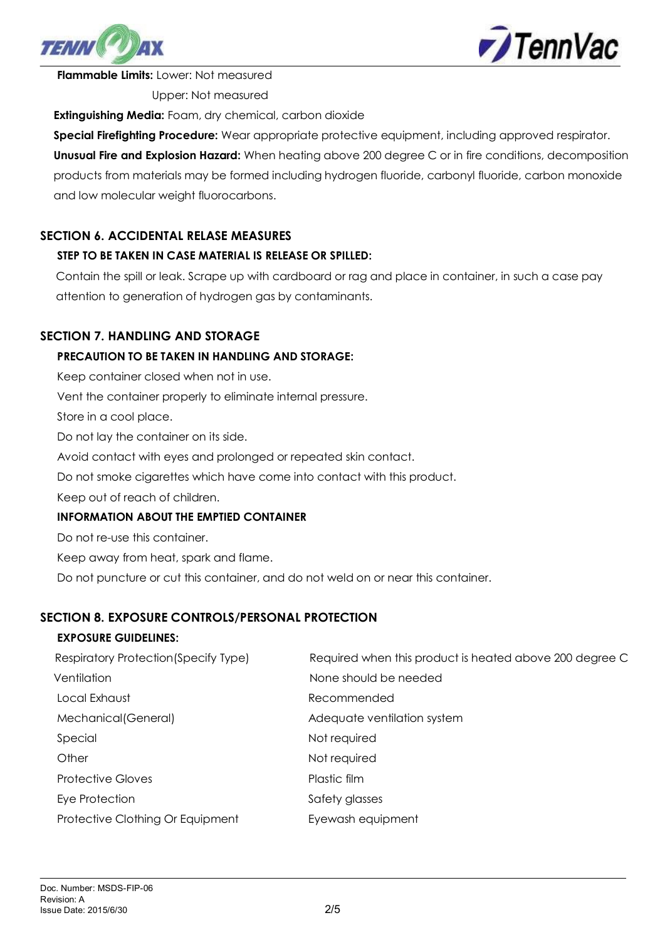



**Flammable Limits:** Lower: Not measured

Upper: Not measured

**Extinguishing Media:** Foam, dry chemical, carbon dioxide

**Special Firefighting Procedure:** Wear appropriate protective equipment, including approved respirator. **Unusual Fire and Explosion Hazard:** When heating above 200 degree C or in fire conditions, decomposition products from materials may be formed including hydrogen fluoride, carbonyl fluoride, carbon monoxide and low molecular weight fluorocarbons.

# **SECTION 6. ACCIDENTAL RELASE MEASURES**

#### **STEP TO BE TAKEN IN CASE MATERIAL IS RELEASE OR SPILLED:**

Contain the spill or leak. Scrape up with cardboard or rag and place in container, in such a case pay attention to generation of hydrogen gas by contaminants.

# **SECTION 7. HANDLING AND STORAGE**

#### **PRECAUTION TO BE TAKEN IN HANDLING AND STORAGE:**

 Keep container closed when not in use. Vent the container properly to eliminate internal pressure.

Store in a cool place.

Do not lay the container on its side.

Avoid contact with eyes and prolonged or repeated skin contact.

Do not smoke cigarettes which have come into contact with this product.

Keep out of reach of children.

#### **INFORMATION ABOUT THE EMPTIED CONTAINER**

Do not re-use this container.

Keep away from heat, spark and flame.

Do not puncture or cut this container, and do not weld on or near this container.

#### **SECTION 8. EXPOSURE CONTROLS/PERSONAL PROTECTION**

#### **EXPOSURE GUIDELINES:**

| Respiratory Protection (Specify Type) | Required when this product is heated above 200 degree C |  |  |
|---------------------------------------|---------------------------------------------------------|--|--|
| Ventilation                           | None should be needed                                   |  |  |
| Local Exhaust                         | Recommended                                             |  |  |
| Mechanical (General)                  | Adequate ventilation system                             |  |  |
| Special                               | Not required                                            |  |  |
| Other                                 | Not required                                            |  |  |
| <b>Protective Gloves</b>              | Plastic film                                            |  |  |
| Eye Protection                        | Safety glasses                                          |  |  |
| Protective Clothing Or Equipment      | Eyewash equipment                                       |  |  |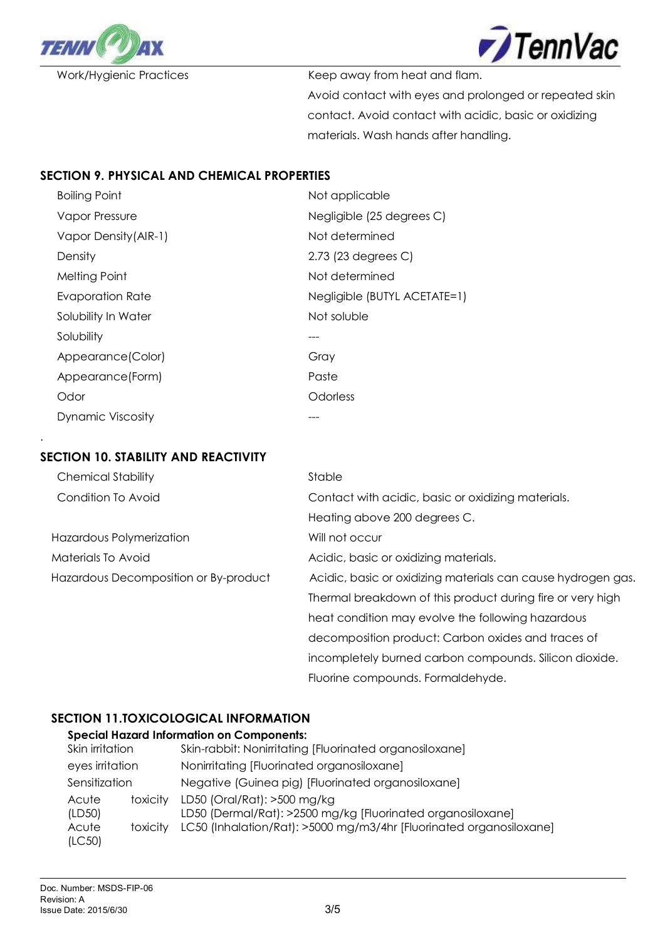



Work/Hygienic Practices Keep away from heat and flam. Avoid contact with eyes and prolonged or repeated skin contact. Avoid contact with acidic, basic or oxidizing materials. Wash hands after handling.

#### **SECTION 9. PHYSICAL AND CHEMICAL PROPERTIES**

| <b>Boiling Point</b>  | Not applicable               |
|-----------------------|------------------------------|
| Vapor Pressure        | Negligible (25 degrees C)    |
| Vapor Density (AIR-1) | Not determined               |
| Density               | 2.73 (23 degrees C)          |
| Melting Point         | Not determined               |
| Evaporation Rate      | Negligible (BUTYL ACETATE=1) |
| Solubility In Water   | Not soluble                  |
| Solubility            |                              |
| Appearance(Color)     | Gray                         |
| Appearance (Form)     | Paste                        |
| Odor                  | Odorless                     |
| Dynamic Viscosity     |                              |

#### **SECTION 10. STABILITY AND REACTIVITY**

.

| <b>Chemical Stability</b>             | Stable                                                       |  |  |
|---------------------------------------|--------------------------------------------------------------|--|--|
| Condition To Avoid                    | Contact with acidic, basic or oxidizing materials.           |  |  |
|                                       | Heating above 200 degrees C.                                 |  |  |
| Hazardous Polymerization              | Will not occur                                               |  |  |
| Materials To Avoid                    | Acidic, basic or oxidizing materials.                        |  |  |
| Hazardous Decomposition or By-product | Acidic, basic or oxidizing materials can cause hydrogen gas. |  |  |
|                                       | Thermal breakdown of this product during fire or very high   |  |  |
|                                       | heat condition may evolve the following hazardous            |  |  |
|                                       | decomposition product: Carbon oxides and traces of           |  |  |
|                                       | incompletely burned carbon compounds. Silicon dioxide.       |  |  |
|                                       | Fluorine compounds. Formaldehyde.                            |  |  |

# **SECTION 11.TOXICOLOGICAL INFORMATION**

#### **Special Hazard Information on Components:**

| Skin irritation |          | Skin-rabbit: Nonirritating [Fluorinated organosiloxane]                                    |  |
|-----------------|----------|--------------------------------------------------------------------------------------------|--|
| eyes irritation |          | Nonirritating [Fluorinated organosiloxane]                                                 |  |
| Sensitization   |          | Negative (Guinea pig) [Fluorinated organosiloxane]                                         |  |
| Acute<br>(LD50) | toxicity | LD50 (Oral/Rat): >500 mg/kg<br>LD50 (Dermal/Rat): >2500 mg/kg [Fluorinated organosiloxane] |  |
| Acute<br>(LC50) | toxicity | LC50 (Inhalation/Rat): >5000 mg/m3/4hr [Fluorinated organosiloxane]                        |  |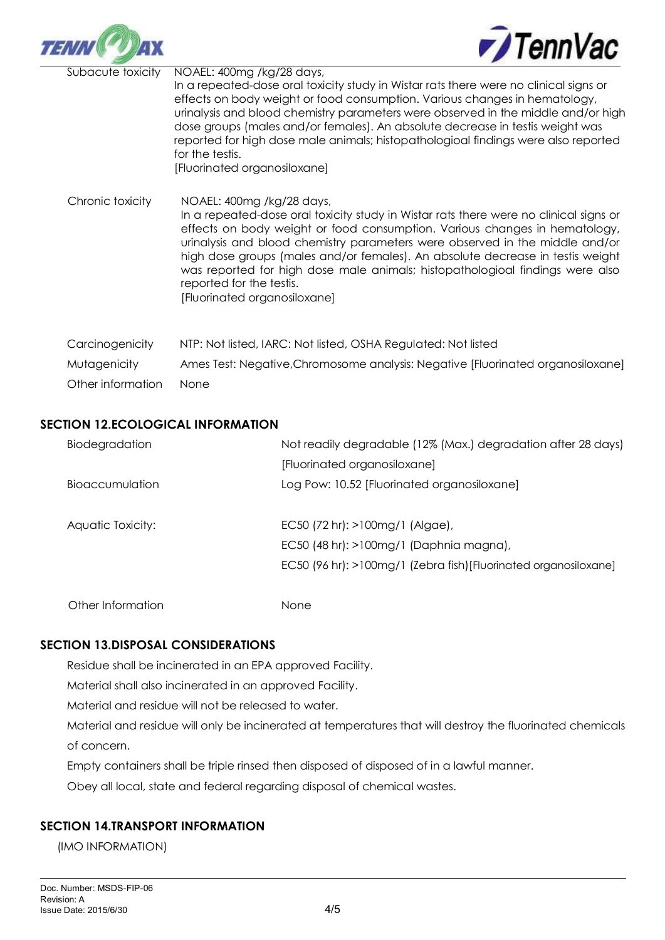



 $\overline{a}$ Subacute toxicity NOAEL: 400mg /kg/28 days, In a repeated-dose oral toxicity study in Wistar rats there were no clinical signs or effects on body weight or food consumption. Various changes in hematology, urinalysis and blood chemistry parameters were observed in the middle and/or high dose groups (males and/or females). An absolute decrease in testis weight was reported for high dose male animals; histopathologioal findings were also reported for the testis. [Fluorinated organosiloxane] Chronic toxicity NOAEL: 400mg /kg/28 days, In a repeated-dose oral toxicity study in Wistar rats there were no clinical signs or effects on body weight or food consumption. Various changes in hematology, urinalysis and blood chemistry parameters were observed in the middle and/or high dose groups (males and/or females). An absolute decrease in testis weight was reported for high dose male animals; histopathologioal findings were also reported for the testis. [Fluorinated organosiloxane]

Carcinogenicity NTP: Not listed, IARC: Not listed, OSHA Regulated: Not listed Mutagenicity Ames Test: Negative,Chromosome analysis: Negative [Fluorinated organosiloxane] Other information None

#### **SECTION 12.ECOLOGICAL INFORMATION**

| Biodegradation    | Not readily degradable (12% (Max.) degradation after 28 days)   |  |
|-------------------|-----------------------------------------------------------------|--|
|                   | [Fluorinated organosiloxane]                                    |  |
| Bioaccumulation   | Log Pow: 10.52 [Fluorinated organosiloxane]                     |  |
| Aquatic Toxicity: | $EC50$ (72 hr): $>100$ mg/1 (Algae),                            |  |
|                   | EC50 (48 hr): >100mg/1 (Daphnia magna),                         |  |
|                   | EC50 (96 hr): >100mg/1 (Zebra fish)[Fluorinated organosiloxane] |  |
| Other Information | None                                                            |  |

#### **SECTION 13.DISPOSAL CONSIDERATIONS**

Residue shall be incinerated in an EPA approved Facility.

Material shall also incinerated in an approved Facility.

Material and residue will not be released to water.

Material and residue will only be incinerated at temperatures that will destroy the fluorinated chemicals of concern.

Empty containers shall be triple rinsed then disposed of disposed of in a lawful manner.

Obey all local, state and federal regarding disposal of chemical wastes.

#### **SECTION 14.TRANSPORT INFORMATION**

(IMO INFORMATION)